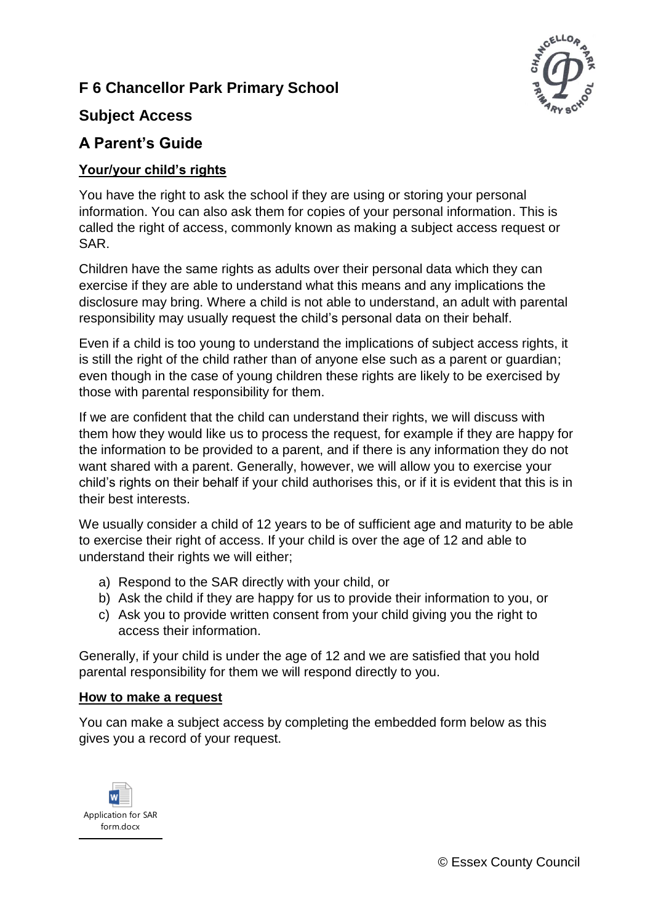# **F 6 Chancellor Park Primary School**



### **Subject Access**

# **A Parent's Guide**

#### **Your/your child's rights**

You have the right to ask the school if they are using or storing your personal information. You can also ask them for copies of your personal information. This is called the right of access, commonly known as making a subject access request or SAR.

Children have the same rights as adults over their personal data which they can exercise if they are able to understand what this means and any implications the disclosure may bring. Where a child is not able to understand, an adult with parental responsibility may usually request the child's personal data on their behalf.

Even if a child is too young to understand the implications of subject access rights, it is still the right of the child rather than of anyone else such as a parent or guardian; even though in the case of young children these rights are likely to be exercised by those with parental responsibility for them.

If we are confident that the child can understand their rights, we will discuss with them how they would like us to process the request, for example if they are happy for the information to be provided to a parent, and if there is any information they do not want shared with a parent. Generally, however, we will allow you to exercise your child's rights on their behalf if your child authorises this, or if it is evident that this is in their best interests.

We usually consider a child of 12 years to be of sufficient age and maturity to be able to exercise their right of access. If your child is over the age of 12 and able to understand their rights we will either;

- a) Respond to the SAR directly with your child, or
- b) Ask the child if they are happy for us to provide their information to you, or
- c) Ask you to provide written consent from your child giving you the right to access their information.

Generally, if your child is under the age of 12 and we are satisfied that you hold parental responsibility for them we will respond directly to you.

#### **How to make a request**

You can make a subject access by completing the embedded form below as this gives you a record of your request.